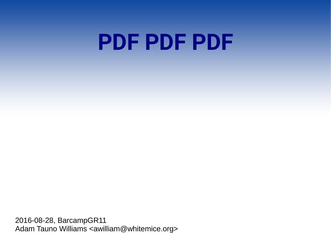# **PDF PDF PDF**

2016-08-28, BarcampGR11 Adam Tauno Williams <awilliam@whitemice.org>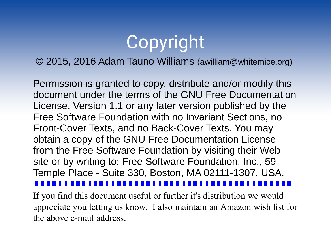## Copyright

### © 2015, 2016 Adam Tauno Williams (awilliam@whitemice.org)

Permission is granted to copy, distribute and/or modify this document under the terms of the GNU Free Documentation License, Version 1.1 or any later version published by the Free Software Foundation with no Invariant Sections, no Front-Cover Texts, and no Back-Cover Texts. You may obtain a copy of the GNU Free Documentation License from the Free Software Foundation by visiting their Web site or by writing to: Free Software Foundation, Inc., 59 Temple Place - Suite 330, Boston, MA 02111-1307, USA. 

If you find this document useful or further it's distribution we would appreciate you letting us know. I also maintain an Amazon wish list for the above e-mail address.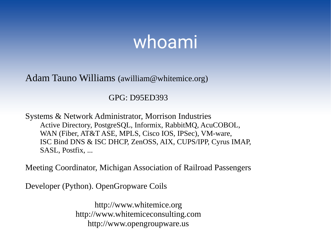### whoami

Adam Tauno Williams ([awilliam@whitemice.org\)](mailto:awilliam@whitemice.org)

GPG: D95ED393

Systems & Network Administrator, Morrison Industries Active Directory, PostgreSQL, Informix, RabbitMQ, AcuCOBOL, WAN (Fiber, AT&T ASE, MPLS, Cisco IOS, IPSec), VM-ware, ISC Bind DNS & ISC DHCP, ZenOSS, AIX, CUPS/IPP, Cyrus IMAP, SASL, Postfix, ...

Meeting Coordinator, Michigan Association of Railroad Passengers

Developer (Python). OpenGropware Coils

[http://www.whitemice.org](http://www.whitemice.org/) [http://www.whitemiceconsulting.com](http://www.whitemiceconsulting.com/) http://www.opengroupware.us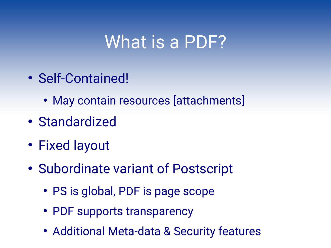### What is a PDF?

- Self-Contained!
	- May contain resources [attachments]
- Standardized
- Fixed layout
- Subordinate variant of Postscript
	- PS is global, PDF is page scope
	- PDF supports transparency
	- Additional Meta-data & Security features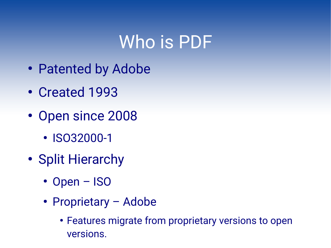### Who is PDF

- Patented by Adobe
- Created 1993
- Open since 2008
	- ISO32000-1
- Split Hierarchy
	- Open ISO
	- Proprietary Adobe
		- Features migrate from proprietary versions to open versions.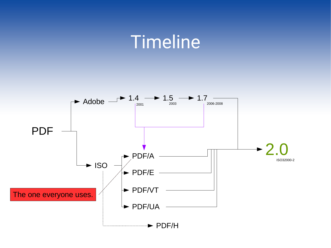### Timeline

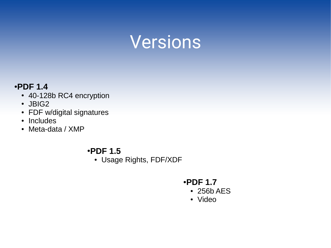### Versions

#### ●**PDF 1.4**

- 40-128b RC4 encryption
- JBIG2
- FDF w/digital signatures
- Includes
- Meta-data / XMP

#### ●**PDF 1.5**

• Usage Rights, FDF/XDF

#### ●**PDF 1.7**

- 256b AES
- Video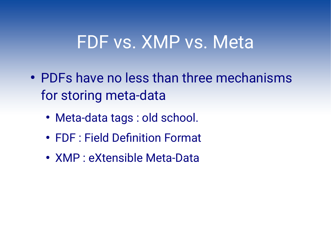### FDF vs. XMP vs. Meta

- PDFs have no less than three mechanisms for storing meta-data
	- Meta-data tags : old school.
	- FDF : Field Definition Format
	- XMP : eXtensible Meta-Data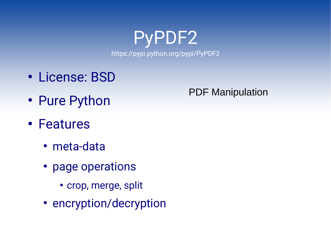PyPDF2 https://pypi.python.org/pypi/PyPDF2

- License: BSD
- Pure Python
- Features
	- meta-data
	- page operations
		- crop, merge, split
	- encryption/decryption

### PDF Manipulation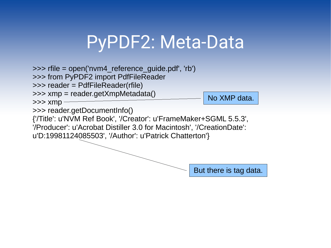## PyPDF2: Meta-Data

>>> rfile = open('nvm4\_reference\_guide.pdf', 'rb')

>>> from PyPDF2 import PdfFileReader

>>> reader = PdfFileReader(rfile)

>>> xmp = reader.getXmpMetadata()

No XMP data.

>>> reader.getDocumentInfo()

 $>>$  xmp -

{'/Title': u'NVM Ref Book', '/Creator': u'FrameMaker+SGML 5.5.3',

'/Producer': u'Acrobat Distiller 3.0 for Macintosh', '/CreationDate':

u'D:19981124085503', '/Author': u'Patrick Chatterton'}

But there is tag data.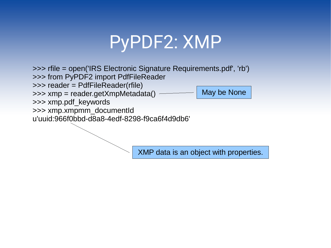## PyPDF2: XMP

>>> rfile = open('IRS Electronic Signature Requirements.pdf', 'rb') >>> from PyPDF2 import PdfFileReader >>> reader = PdfFileReader(rfile) >>> xmp = reader.getXmpMetadata() >>> xmp.pdf\_keywords >>> xmp.xmpmm\_documentId u'uuid:966f0bbd-d8a8-4edf-8298-f9ca6f4d9db6' May be None

XMP data is an object with properties.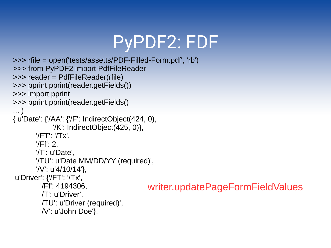## PyPDF2: FDF

```
>>> rfile = open('tests/assetts/PDF-Filled-Form.pdf', 'rb')
>>> from PyPDF2 import PdfFileReader
>>> reader = PdfFileReader(rfile)
>>> pprint.pprint(reader.getFields())
>>> import pprint
>>> pprint.pprint(reader.getFields()
... )
{ u'Date': {'/AA': {'/F': IndirectObject(424, 0),
             '/K': IndirectObject(425, 0)},
        '/FT': '/Tx',
        '/Ff': 2,
        '/T': u'Date',
        '/TU': u'Date MM/DD/YY (required)',
        '/V': u'4/10/14'},
u'Driver': {'/FT': '/Tx',
         '/Ff': 4194306,
         '/T': u'Driver',
         '/TU': u'Driver (required)',
         '/V': u'John Doe'},
                                           writer.updatePageFormFieldValues
```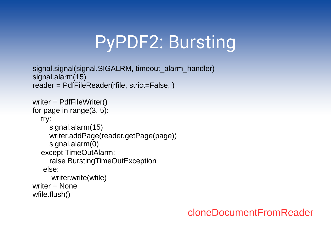## PyPDF2: Bursting

```
signal.signal(signal.SIGALRM, timeout alarm handler)
signal.alarm(15)
reader = PdfFileReader(rfile, strict=False, )
```
writer = PdfFileWriter() for page in range(3, 5): try: signal.alarm(15) writer.addPage(reader.getPage(page)) signal.alarm(0) except TimeOutAlarm: raise BurstingTimeOutException else: writer.write(wfile) writer = None wfile.flush()

cloneDocumentFromReader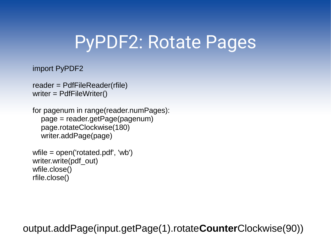## PyPDF2: Rotate Pages

#### import PyPDF2

```
reader = PdfFileReader(rfile)
writer = PdfFileWriter()
```
for pagenum in range(reader.numPages): page = reader.getPage(pagenum) page.rotateClockwise(180) writer.addPage(page)

```
wfile = open('rotated.pdf', 'wb')
writer.write(pdf_out)
wfile.close()
rfile.close()
```
output.addPage(input.getPage(1).rotate**Counter**Clockwise(90))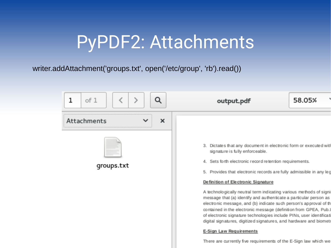## PyPDF2: Attachments

writer.addAttachment('groups.txt', open('/etc/group', 'rb').read())

| of 1                           | 58.05%                                                                                                                                                                                                                                                                                                                                                                                                                                                                                                                                                                                                                                                                                                                                     |
|--------------------------------|--------------------------------------------------------------------------------------------------------------------------------------------------------------------------------------------------------------------------------------------------------------------------------------------------------------------------------------------------------------------------------------------------------------------------------------------------------------------------------------------------------------------------------------------------------------------------------------------------------------------------------------------------------------------------------------------------------------------------------------------|
| Q                              | output.pdf                                                                                                                                                                                                                                                                                                                                                                                                                                                                                                                                                                                                                                                                                                                                 |
| ×<br>Attachments<br>qroups.txt | 3. Dictates that any document in electronic form or executed with<br>signature is fully enforceable.<br>4. Sets forth electronic record retention requirements.<br>5. Provides that electronic records are fully admissible in any leg<br>Definition of Electronic Signature<br>A technologically neutral term indicating various methods of signi<br>message that (a) identify and authenticate a particular person as<br>electronic message, and (b) indicate such person's approval of th<br>contained in the electronic message (definition from GPEA, Pub.I<br>of electronic signature technologies include PINs, user identificati<br>digital sign atures, digitized signatures, and hardware and biometr<br>E-Sign Law Requirements |

There are currently five requirements of the E-Sign law which we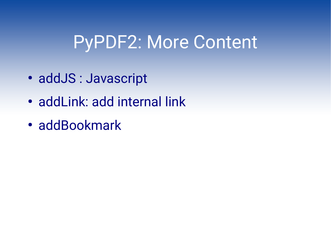### PyPDF2: More Content

- addJS: Javascript
- addLink: add internal link
- addBookmark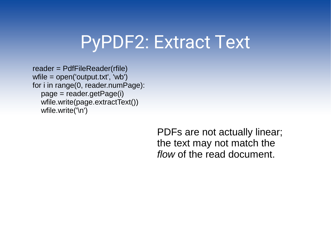### PyPDF2: Extract Text

reader = PdfFileReader(rfile) wfile = open('output.txt', 'wb') for i in range(0, reader.numPage): page = reader.getPage(i) wfile.write(page.extractText()) wfile.write('\n')

> PDFs are not actually linear; the text may not match the *flow* of the read document.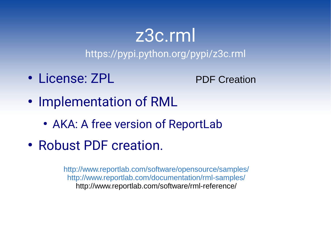# z3c.rml

https://pypi.python.org/pypi/z3c.rml

• License: ZPL

PDF Creation

- Implementation of RML
	- AKA: A free version of ReportLab
- Robust PDF creation.

<http://www.reportlab.com/software/opensource/samples/> <http://www.reportlab.com/documentation/rml-samples/> http://www.reportlab.com/software/rml-reference/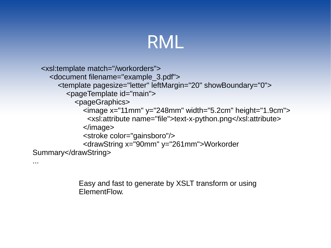### RML

```
 <xsl:template match="/workorders">
     <document filename="example_3.pdf">
        <template pagesize="letter" leftMargin="20" showBoundary="0">
          <pageTemplate id="main">
             <pageGraphics>
               <image x="11mm" y="248mm" width="5.2cm" height="1.9cm">
                <xsl:attribute name="file">text-x-python.png</xsl:attribute>
               </image>
               <stroke color="gainsboro"/>
               <drawString x="90mm" y="261mm">Workorder 
Summary</drawString>
```
Easy and fast to generate by XSLT transform or using ElementFlow.

...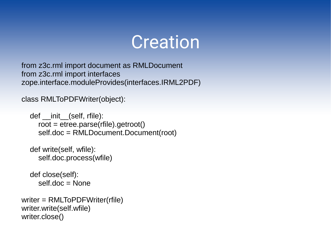### Creation

from z3c.rml import document as RMLDocument from z3c.rml import interfaces zope.interface.moduleProvides(interfaces.IRML2PDF)

class RMLToPDFWriter(object):

 def \_\_init\_\_(self, rfile): root = etree.parse(rfile).getroot() self.doc = RMLDocument.Document(root)

```
 def write(self, wfile):
   self.doc.process(wfile)
```
 def close(self): self.doc = None

```
writer = RMLToPDFWriter(rfile)
writer.write(self.wfile)
writer.close()
```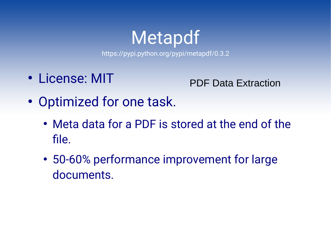## Metapdf

https://pypi.python.org/pypi/metapdf/0.3.2

• License: MIT

PDF Data Extraction

- Optimized for one task.
	- Meta data for a PDF is stored at the end of the file.
	- 50-60% performance improvement for large documents.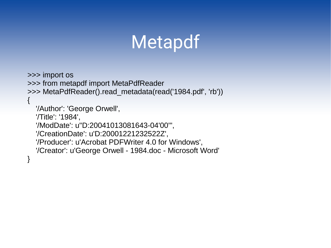## Metapdf

>>> import os >>> from metapdf import MetaPdfReader >>> MetaPdfReader().read\_metadata(read('1984.pdf', 'rb'))  $\{$ 

 '/Author': 'George Orwell', '/Title': '1984', '/ModDate': u"D:20041013081643-04'00'", '/CreationDate': u'D:20001221232522Z', '/Producer': u'Acrobat PDFWriter 4.0 for Windows', '/Creator': u'George Orwell - 1984.doc - Microsoft Word' }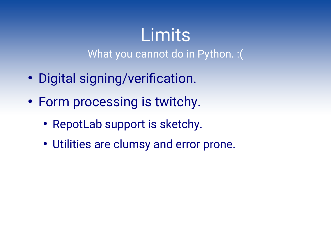# **Limits**

What you cannot do in Python. : (

- Digital signing/verification.
- Form processing is twitchy.
	- RepotLab support is sketchy.
	- Utilities are clumsy and error prone.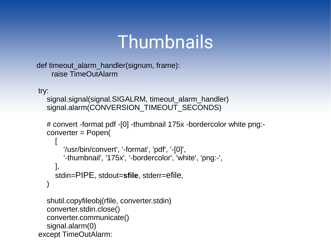## **Thumbnails**

```
def timeout_alarm_handler(signum, frame):
     raise TimeOutAlarm
```
try:

```
signal.signal(signal.SIGALRM, timeout alarm handler)
signal.alarm(CONVERSION_TIMEOUT_SECONDS)
```

```
 # convert -format pdf -[0] -thumbnail 175x -bordercolor white png:-
 converter = Popen(
```

```
\begin{bmatrix} 1 & 1 & 1 \ 1 & 1 & 1 \end{bmatrix} '/usr/bin/convert', '-format', 'pdf', '-[0]',
                   '-thumbnail', '175x', '-bordercolor', 'white', 'png:-',
               ],
               stdin=PIPE, stdout=sfile, stderr=efile,
\overline{\phantom{a}}
```

```
 shutil.copyfileobj(rfile, converter.stdin)
   converter.stdin.close()
   converter.communicate()
   signal.alarm(0)
 except TimeOutAlarm:
```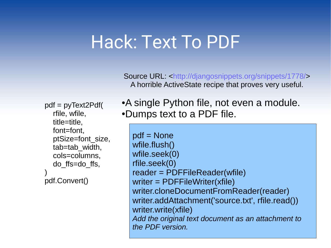### Hack: Text To PDF

Source URL: <http://djangosnippets.org/snippets/1778/> A horrible ActiveState recipe that proves very useful.

 pdf = pyText2Pdf( rfile, wfile, title=title, font=font, ptSize=font\_size, tab=tab\_width, cols=columns, do\_ffs=do\_ffs,  $\overline{\phantom{a}}$ pdf.Convert()

• A single Python file, not even a module. •Dumps text to a PDF file.

pdf = None wfile.flush() wfile.seek(0) rfile.seek(0) reader = PDFFileReader(wfile) writer = PDFFileWriter(xfile) writer.cloneDocumentFromReader(reader) writer.addAttachment('source.txt', rfile.read()) writer.write(xfile) *Add the original text document as an attachment to the PDF version.*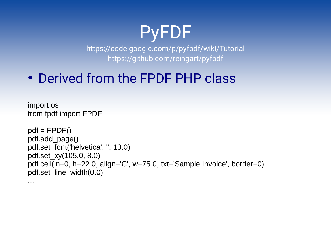### PyFDF

https://code.google.com/p/pyfpdf/wiki/Tutorial https://github.com/reingart/pyfpdf

• Derived from the FPDF PHP class

import os from fpdf import FPDF

...

```
pdf = FPDF()pdf.add_page()
pdf.set_font('helvetica', '', 13.0)
pdf.set_xy(105.0, 8.0)
pdf.cell(ln=0, h=22.0, align='C', w=75.0, txt='Sample Invoice', border=0)
pdf.set_line_width(0.0)
```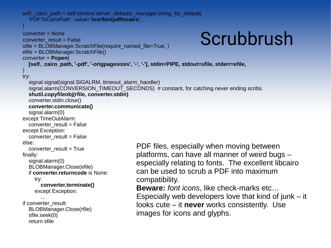```
Scrubbrush
    self. cairo path = self.context.server_defaults_manager.string_for_default(
       'PDFToCairoPath', value='/usr/bin/pdftocairo',
\qquad \qquad converter = None
     converter_result = False
    sfile = BLOBManager.ScratchFile(require_named_file=True, )
     efile = BLOBManager.ScratchFile()
     converter = Popen(
       [self._cairo_path, '-pdf', '-origpagesizes', '-', '-'], stdin=PIPE, stdout=sfile, stderr=efile,
\qquad \qquad try:
      signal.signal(signal.SIGALRM, timeout_alarm_handler)
      signal.alarm(CONVERSION_TIMEOUT_SECONDS) # constant, for catching never ending scribs
       shutil.copyfileobj(rfile, converter.stdin)
       converter.stdin.close()
       converter.communicate()
       signal.alarm(0)
     except TimeOutAlarm:
      converter_result = False
     except Exception:
      converter_result = False
     else:
       converter_result = True
     finally:
       signal.alarm(0)
       BLOBManager.Close(efile)
       if converter.returncode is None:
         try:
           converter.terminate()
         except Exception:
 ...
     if converter_result:
       BLOBManager.Close(rfile)
       sfile.seek(0)
       return sfile
                                               PDF files, especially when moving between 
                                               platforms, can have all manner of weird bugs – 
                                               especially relating to fonts. The excellent libcairo 
                                               can be used to scrub a PDF into maximum 
                                               compatibility.
                                               Beware: font icons, like check-marks etc… 
                                               Especially web developers love that kind of junk - it
                                               looks cute – it never works consistently. Use 
                                               images for icons and glyphs.
```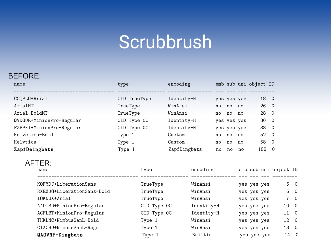## Scrubbrush

#### BEFORE:

| name<br>------------------------------- | type         |             | encoding |                                |       |          |             | emb sub uni object ID |              |                |              |
|-----------------------------------------|--------------|-------------|----------|--------------------------------|-------|----------|-------------|-----------------------|--------------|----------------|--------------|
| CCQPLO+Arial                            | CID TrueType |             |          | Identity-H                     |       |          | yes yes yes |                       | 18 0         |                |              |
| ArialMT                                 | TrueType     |             | WinAnsi  |                                | no    | no       | no          |                       | $26 \quad 0$ |                |              |
| Arial-BoldMT                            | TrueType     |             | WinAnsi  |                                | no no |          | no          |                       | 28 0         |                |              |
| QVDGUR+MinionPro-Regular                | CID Type OC  |             |          | Identity-H                     |       |          | yes yes yes |                       | 30           | $\overline{0}$ |              |
| FZPPKI+MinionPro-Regular                | CID Type OC  |             |          | Identity-H                     |       |          | yes yes yes |                       | 38           | $\overline{0}$ |              |
| Helvetica-Bold                          | Type 1       |             | Custom   |                                | no no |          | no          |                       | 52 0         |                |              |
| Helvtica                                | Type 1       |             | Custom   |                                |       | no no no |             |                       | 58 0         |                |              |
| ZapfDeingbats                           | Type 1       |             |          | ZapfDingbats                   | no    | no       | no          |                       | 188          | $\overline{0}$ |              |
| AFTER:<br>name                          |              | type        |          | encoding emb sub uni object ID |       |          |             |                       |              |                |              |
| KOFYDJ+LiberationSans                   |              | TrueType    |          | WinAnsi                        |       |          |             | yes yes yes           |              |                | $5\quad 0$   |
| RXEXJO+LiberationSans-Bold              |              | TrueType    |          | WinAnsi                        |       |          |             | yes yes yes           |              |                | 6 0          |
| IOKNUX+Arial                            |              | TrueType    |          | WinAnsi                        |       |          |             | yes yes yes           |              |                | $7\quad 0$   |
| AADISD+MinionPro-Regular                |              | CID Type OC |          | Identity-H                     |       |          |             | yes yes yes           |              |                | 10 0         |
| AGFLBT+MinionPro-Regular                |              | CID Type OC |          | Identity-H                     |       |          |             | yes yes yes           |              |                | 110          |
| THKLNC+NimbusSanL-Bold                  |              | Type 1      |          | WinAnsi                        |       |          |             | yes yes yes           |              |                | 12 0         |
| CIXCHU+NimbusSanL-Regu                  |              | Type 1      |          | WinAnsi                        |       |          |             | yes yes yes           |              |                | 13 0         |
| QAOVNF+Dingbats                         |              | Type 1      |          | Builtin                        |       |          |             | yes yes yes           |              |                | $14 \quad 0$ |
|                                         |              |             |          |                                |       |          |             |                       |              |                |              |